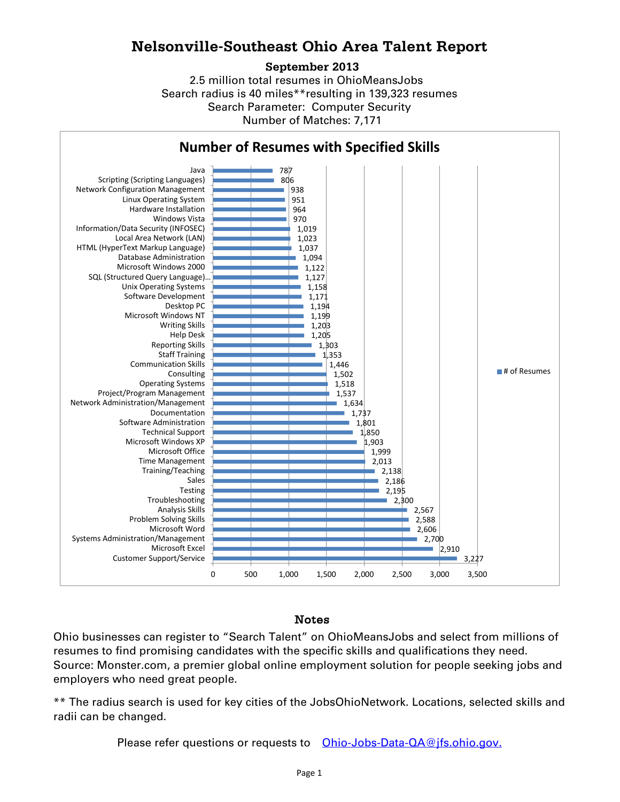## **Nelsonville-Southeast Ohio Area Talent Report**

## **September 2013**

2.5 million total resumes in OhioMeansJobs Search radius is 40 miles\*\*resulting in 139,323 resumes Number of Matches: 7,171 Search Parameter: Computer Security



## Notes

Ohio businesses can register to "Search Talent" on OhioMeansJobs and select from millions of resumes to find promising candidates with the specific skills and qualifications they need. Source: Monster.com, a premier global online employment solution for people seeking jobs and employers who need great people.

\*\* The radius search is used for key cities of the JobsOhioNetwork. Locations, selected skills and radii can be changed.

Please refer questions or requests to [Ohio-Jobs-Data-QA@jfs.ohio.gov.](mailto:Ohio-Jobs-Data-QA@jfs.ohio.gov.)